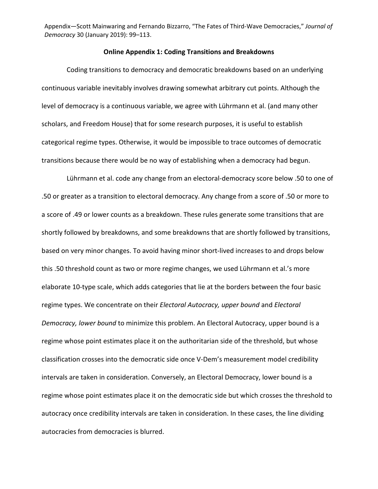## **Online Appendix 1: Coding Transitions and Breakdowns**

Coding transitions to democracy and democratic breakdowns based on an underlying continuous variable inevitably involves drawing somewhat arbitrary cut points. Although the level of democracy is a continuous variable, we agree with Lührmann et al. (and many other scholars, and Freedom House) that for some research purposes, it is useful to establish categorical regime types. Otherwise, it would be impossible to trace outcomes of democratic transitions because there would be no way of establishing when a democracy had begun.

Lührmann et al. code any change from an electoral-democracy score below .50 to one of .50 or greater as a transition to electoral democracy. Any change from a score of .50 or more to a score of .49 or lower counts as a breakdown. These rules generate some transitions that are shortly followed by breakdowns, and some breakdowns that are shortly followed by transitions, based on very minor changes. To avoid having minor short-lived increases to and drops below this .50 threshold count as two or more regime changes, we used Lührmann et al.'s more elaborate 10-type scale, which adds categories that lie at the borders between the four basic regime types. We concentrate on their *Electoral Autocracy, upper bound* and *Electoral Democracy, lower bound* to minimize this problem. An Electoral Autocracy, upper bound is a regime whose point estimates place it on the authoritarian side of the threshold, but whose classification crosses into the democratic side once V-Dem's measurement model credibility intervals are taken in consideration. Conversely, an Electoral Democracy, lower bound is a regime whose point estimates place it on the democratic side but which crosses the threshold to autocracy once credibility intervals are taken in consideration. In these cases, the line dividing autocracies from democracies is blurred.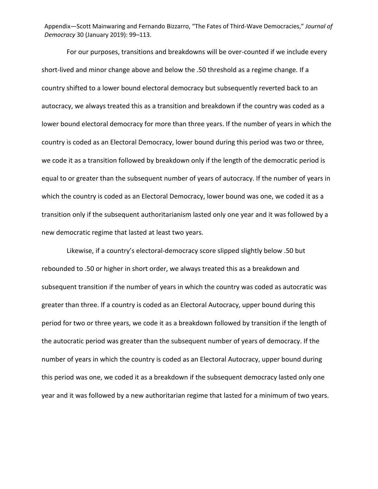For our purposes, transitions and breakdowns will be over-counted if we include every short-lived and minor change above and below the .50 threshold as a regime change. If a country shifted to a lower bound electoral democracy but subsequently reverted back to an autocracy, we always treated this as a transition and breakdown if the country was coded as a lower bound electoral democracy for more than three years. If the number of years in which the country is coded as an Electoral Democracy, lower bound during this period was two or three, we code it as a transition followed by breakdown only if the length of the democratic period is equal to or greater than the subsequent number of years of autocracy. If the number of years in which the country is coded as an Electoral Democracy, lower bound was one, we coded it as a transition only if the subsequent authoritarianism lasted only one year and it was followed by a new democratic regime that lasted at least two years.

Likewise, if a country's electoral-democracy score slipped slightly below .50 but rebounded to .50 or higher in short order, we always treated this as a breakdown and subsequent transition if the number of years in which the country was coded as autocratic was greater than three. If a country is coded as an Electoral Autocracy, upper bound during this period for two or three years, we code it as a breakdown followed by transition if the length of the autocratic period was greater than the subsequent number of years of democracy. If the number of years in which the country is coded as an Electoral Autocracy, upper bound during this period was one, we coded it as a breakdown if the subsequent democracy lasted only one year and it was followed by a new authoritarian regime that lasted for a minimum of two years.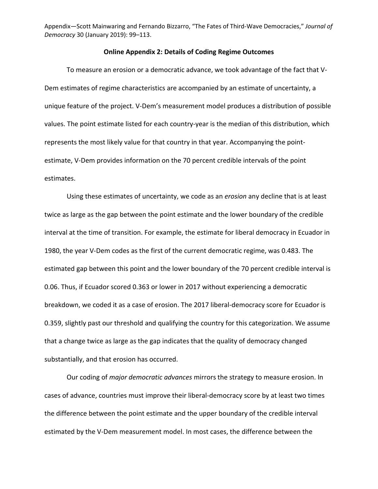## **Online Appendix 2: Details of Coding Regime Outcomes**

To measure an erosion or a democratic advance, we took advantage of the fact that V-Dem estimates of regime characteristics are accompanied by an estimate of uncertainty, a unique feature of the project. V-Dem's measurement model produces a distribution of possible values. The point estimate listed for each country-year is the median of this distribution, which represents the most likely value for that country in that year. Accompanying the pointestimate, V-Dem provides information on the 70 percent credible intervals of the point estimates.

Using these estimates of uncertainty, we code as an *erosion* any decline that is at least twice as large as the gap between the point estimate and the lower boundary of the credible interval at the time of transition. For example, the estimate for liberal democracy in Ecuador in 1980, the year V-Dem codes as the first of the current democratic regime, was 0.483. The estimated gap between this point and the lower boundary of the 70 percent credible interval is 0.06. Thus, if Ecuador scored 0.363 or lower in 2017 without experiencing a democratic breakdown, we coded it as a case of erosion. The 2017 liberal-democracy score for Ecuador is 0.359, slightly past our threshold and qualifying the country for this categorization. We assume that a change twice as large as the gap indicates that the quality of democracy changed substantially, and that erosion has occurred.

Our coding of *major democratic advances* mirrors the strategy to measure erosion. In cases of advance, countries must improve their liberal-democracy score by at least two times the difference between the point estimate and the upper boundary of the credible interval estimated by the V-Dem measurement model. In most cases, the difference between the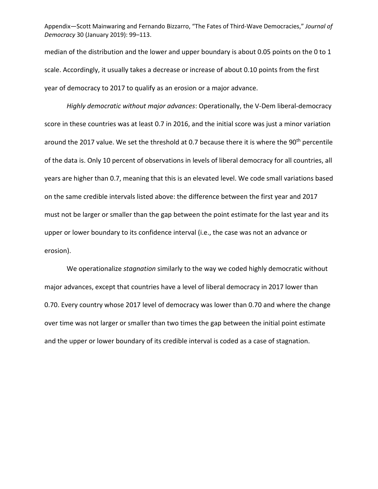median of the distribution and the lower and upper boundary is about 0.05 points on the 0 to 1 scale. Accordingly, it usually takes a decrease or increase of about 0.10 points from the first year of democracy to 2017 to qualify as an erosion or a major advance.

*Highly democratic without major advances*: Operationally, the V-Dem liberal-democracy score in these countries was at least 0.7 in 2016, and the initial score was just a minor variation around the 2017 value. We set the threshold at 0.7 because there it is where the 90<sup>th</sup> percentile of the data is. Only 10 percent of observations in levels of liberal democracy for all countries, all years are higher than 0.7, meaning that this is an elevated level. We code small variations based on the same credible intervals listed above: the difference between the first year and 2017 must not be larger or smaller than the gap between the point estimate for the last year and its upper or lower boundary to its confidence interval (i.e., the case was not an advance or erosion).

We operationalize *stagnation* similarly to the way we coded highly democratic without major advances, except that countries have a level of liberal democracy in 2017 lower than 0.70. Every country whose 2017 level of democracy was lower than 0.70 and where the change over time was not larger or smaller than two times the gap between the initial point estimate and the upper or lower boundary of its credible interval is coded as a case of stagnation.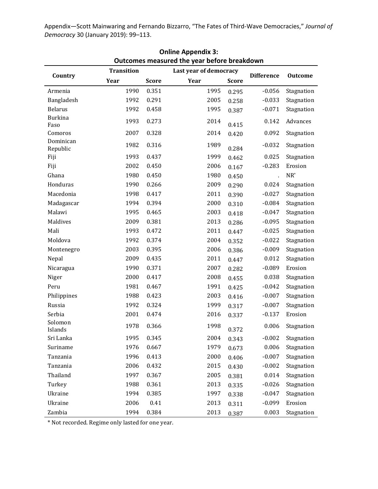| <b>Online Appendix 3:</b>                   |                   |              |                        |                   |                |            |  |  |
|---------------------------------------------|-------------------|--------------|------------------------|-------------------|----------------|------------|--|--|
| Outcomes measured the year before breakdown |                   |              |                        |                   |                |            |  |  |
| Country                                     | <b>Transition</b> |              | Last year of democracy | <b>Difference</b> | <b>Outcome</b> |            |  |  |
|                                             | Year              | <b>Score</b> | Year                   | <b>Score</b>      |                |            |  |  |
| Armenia                                     | 1990              | 0.351        | 1995                   | 0.295             | $-0.056$       | Stagnation |  |  |
| Bangladesh                                  | 1992              | 0.291        | 2005                   | 0.258             | $-0.033$       | Stagnation |  |  |
| <b>Belarus</b>                              | 1992              | 0.458        | 1995                   | 0.387             | $-0.071$       | Stagnation |  |  |
| <b>Burkina</b><br>Faso                      | 1993              | 0.273        | 2014                   | 0.415             | 0.142          | Advances   |  |  |
| Comoros                                     | 2007              | 0.328        | 2014                   | 0.420             | 0.092          | Stagnation |  |  |
| Dominican<br>Republic                       | 1982              | 0.316        | 1989                   | 0.284             | $-0.032$       | Stagnation |  |  |
| Fiji                                        | 1993              | 0.437        | 1999                   | 0.462             | 0.025          | Stagnation |  |  |
| Fiji                                        | 2002              | 0.450        | 2006                   | 0.167             | $-0.283$       | Erosion    |  |  |
| Ghana                                       | 1980              | 0.450        | 1980                   | 0.450             | $\mathbf{r}$   | $NR^*$     |  |  |
| Honduras                                    | 1990              | 0.266        | 2009                   | 0.290             | 0.024          | Stagnation |  |  |
| Macedonia                                   | 1998              | 0.417        | 2011                   | 0.390             | $-0.027$       | Stagnation |  |  |
| Madagascar                                  | 1994              | 0.394        | 2000                   | 0.310             | $-0.084$       | Stagnation |  |  |
| Malawi                                      | 1995              | 0.465        | 2003                   | 0.418             | $-0.047$       | Stagnation |  |  |
| Maldives                                    | 2009              | 0.381        | 2013                   | 0.286             | $-0.095$       | Stagnation |  |  |
| Mali                                        | 1993              | 0.472        | 2011                   | 0.447             | $-0.025$       | Stagnation |  |  |
| Moldova                                     | 1992              | 0.374        | 2004                   | 0.352             | $-0.022$       | Stagnation |  |  |
| Montenegro                                  | 2003              | 0.395        | 2006                   | 0.386             | $-0.009$       | Stagnation |  |  |
| Nepal                                       | 2009              | 0.435        | 2011                   | 0.447             | 0.012          | Stagnation |  |  |
| Nicaragua                                   | 1990              | 0.371        | 2007                   | 0.282             | $-0.089$       | Erosion    |  |  |
| Niger                                       | 2000              | 0.417        | 2008                   | 0.455             | 0.038          | Stagnation |  |  |
| Peru                                        | 1981              | 0.467        | 1991                   | 0.425             | $-0.042$       | Stagnation |  |  |
| Philippines                                 | 1988              | 0.423        | 2003                   | 0.416             | $-0.007$       | Stagnation |  |  |
| Russia                                      | 1992              | 0.324        | 1999                   | 0.317             | $-0.007$       | Stagnation |  |  |
| Serbia                                      | 2001              | 0.474        | 2016                   | 0.337             | $-0.137$       | Erosion    |  |  |
| Solomon<br>Islands                          | 1978              | 0.366        | 1998                   | 0.372             | 0.006          | Stagnation |  |  |
| Sri Lanka                                   | 1995              | 0.345        | 2004                   | 0.343             | $-0.002$       | Stagnation |  |  |
| Suriname                                    | 1976              | 0.667        | 1979                   | 0.673             | 0.006          | Stagnation |  |  |
| Tanzania                                    | 1996              | 0.413        | 2000                   | 0.406             | $-0.007$       | Stagnation |  |  |
| Tanzania                                    | 2006              | 0.432        | 2015                   | 0.430             | $-0.002$       | Stagnation |  |  |
| Thailand                                    | 1997              | 0.367        | 2005                   | 0.381             | 0.014          | Stagnation |  |  |
| Turkey                                      | 1988              | 0.361        | 2013                   | 0.335             | $-0.026$       | Stagnation |  |  |
| Ukraine                                     | 1994              | 0.385        | 1997                   | 0.338             | $-0.047$       | Stagnation |  |  |
| Ukraine                                     | 2006              | 0.41         | 2013                   | 0.311             | $-0.099$       | Erosion    |  |  |
| Zambia                                      | 1994              | 0.384        | 2013                   | 0.387             | 0.003          | Stagnation |  |  |

\* Not recorded. Regime only lasted for one year.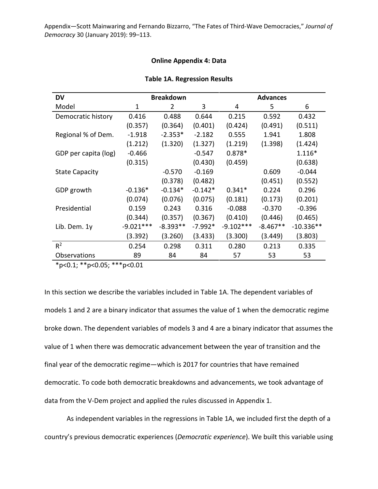## **Online Appendix 4: Data**

| DV                    | <b>Breakdown</b> |            |           | <b>Advances</b> |            |             |  |
|-----------------------|------------------|------------|-----------|-----------------|------------|-------------|--|
| Model                 | $\mathbf 1$      | 2          | 3         | 4               | 5          | 6           |  |
| Democratic history    | 0.416            | 0.488      | 0.644     | 0.215           | 0.592      | 0.432       |  |
|                       | (0.357)          | (0.364)    | (0.401)   | (0.424)         | (0.491)    | (0.511)     |  |
| Regional % of Dem.    | $-1.918$         | $-2.353*$  | $-2.182$  | 0.555           | 1.941      | 1.808       |  |
|                       | (1.212)          | (1.320)    | (1.327)   | (1.219)         | (1.398)    | (1.424)     |  |
| GDP per capita (log)  | $-0.466$         |            | $-0.547$  | $0.878*$        |            | 1.116*      |  |
|                       | (0.315)          |            | (0.430)   | (0.459)         |            | (0.638)     |  |
| <b>State Capacity</b> |                  | $-0.570$   | $-0.169$  |                 | 0.609      | $-0.044$    |  |
|                       |                  | (0.378)    | (0.482)   |                 | (0.451)    | (0.552)     |  |
| GDP growth            | $-0.136*$        | $-0.134*$  | $-0.142*$ | $0.341*$        | 0.224      | 0.296       |  |
|                       | (0.074)          | (0.076)    | (0.075)   | (0.181)         | (0.173)    | (0.201)     |  |
| Presidential          | 0.159            | 0.243      | 0.316     | $-0.088$        | $-0.370$   | $-0.396$    |  |
|                       | (0.344)          | (0.357)    | (0.367)   | (0.410)         | (0.446)    | (0.465)     |  |
| Lib. Dem. 1y          | $-9.021***$      | $-8.393**$ | $-7.992*$ | $-9.102***$     | $-8.467**$ | $-10.336**$ |  |
|                       | (3.392)          | (3.260)    | (3.433)   | (3.300)         | (3.449)    | (3.803)     |  |
| $R^2$                 | 0.254            | 0.298      | 0.311     | 0.280           | 0.213      | 0.335       |  |
| Observations          | 89               | 84         | 84        | 57              | 53         | 53          |  |

## **Table 1A. Regression Results**

\*p<0.1; \*\*p<0.05; \*\*\*p<0.01

In this section we describe the variables included in Table 1A. The dependent variables of models 1 and 2 are a binary indicator that assumes the value of 1 when the democratic regime broke down. The dependent variables of models 3 and 4 are a binary indicator that assumes the value of 1 when there was democratic advancement between the year of transition and the final year of the democratic regime—which is 2017 for countries that have remained democratic. To code both democratic breakdowns and advancements, we took advantage of data from the V-Dem project and applied the rules discussed in Appendix 1.

As independent variables in the regressions in Table 1A, we included first the depth of a country's previous democratic experiences (*Democratic experience*). We built this variable using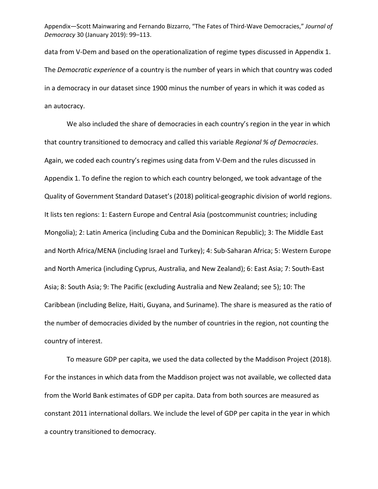data from V-Dem and based on the operationalization of regime types discussed in Appendix 1. The *Democratic experience* of a country is the number of years in which that country was coded in a democracy in our dataset since 1900 minus the number of years in which it was coded as an autocracy.

We also included the share of democracies in each country's region in the year in which that country transitioned to democracy and called this variable *Regional % of Democracies*. Again, we coded each country's regimes using data from V-Dem and the rules discussed in Appendix 1. To define the region to which each country belonged, we took advantage of the Quality of Government Standard Dataset's (2018) political-geographic division of world regions. It lists ten regions: 1: Eastern Europe and Central Asia (postcommunist countries; including Mongolia); 2: Latin America (including Cuba and the Dominican Republic); 3: The Middle East and North Africa/MENA (including Israel and Turkey); 4: Sub-Saharan Africa; 5: Western Europe and North America (including Cyprus, Australia, and New Zealand); 6: East Asia; 7: South-East Asia; 8: South Asia; 9: The Pacific (excluding Australia and New Zealand; see 5); 10: The Caribbean (including Belize, Haiti, Guyana, and Suriname). The share is measured as the ratio of the number of democracies divided by the number of countries in the region, not counting the country of interest.

To measure GDP per capita, we used the data collected by the Maddison Project (2018). For the instances in which data from the Maddison project was not available, we collected data from the World Bank estimates of GDP per capita. Data from both sources are measured as constant 2011 international dollars. We include the level of GDP per capita in the year in which a country transitioned to democracy.